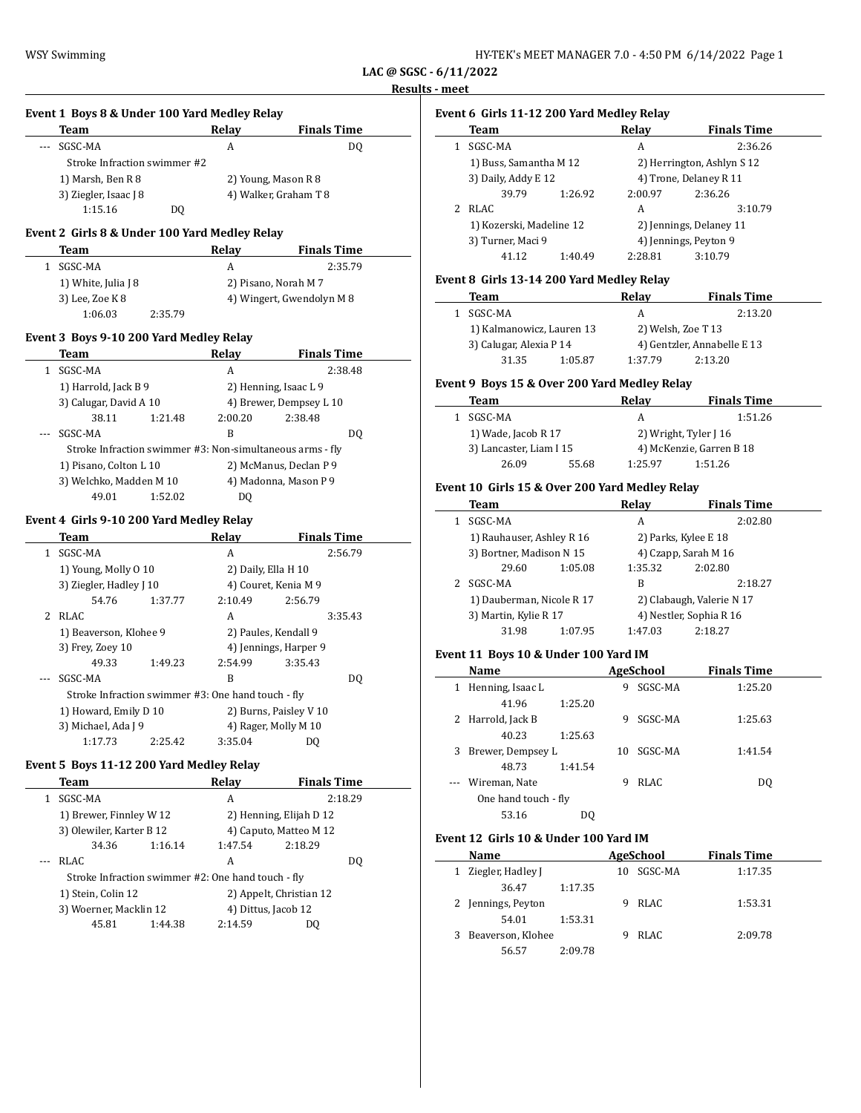| HY-TEK's MEET MANAGER 7.0 - 4:50 PM 6/14/2022 Page 1 |
|------------------------------------------------------|
|------------------------------------------------------|

**LAC @ SGSC - 6/11/2022**

 $\frac{1}{2}$ 

 $\overline{\phantom{a}}$ 

 $\overline{\phantom{0}}$ 

# WSY Swimming **Results - meet Event 1 Boys 8 & Under 100 Yard Medley Relay Team Relay Finals Time** --- SGSC-MA A DQ Stroke Infraction swimmer #2 1) Marsh, Ben R 8 2) Young, Mason R 8 3) Ziegler, Isaac J 8 4) Walker, Graham T 8 1:15.16 DQ **Event 2 Girls 8 & Under 100 Yard Medley Relay Team Relay Finals Time** 1 SGSC-MA A 2:35.79 1) White, Julia J 8 2) Pisano, Norah M 7 3) Lee, Zoe K 8 4) Wingert, Gwendolyn M 8 1:06.03 2:35.79 **Event 3 Boys 9-10 200 Yard Medley Relay Team Relay Finals Time** 1 SGSC-MA A 2:38.48 1) Harrold, Jack B 9 2) Henning, Isaac L 9 3) Calugar, David A 10 4) Brewer, Dempsey L 10 38.11 1:21.48 2:00.20 2:38.48 --- SGSC-MA B DQ Stroke Infraction swimmer #3: Non-simultaneous arms - fly 1) Pisano, Colton L 10 2) McManus, Declan P 9 3) Welchko, Madden M 10 4) Madonna, Mason P 9 49.01 1:52.02 DQ **Event 4 Girls 9-10 200 Yard Medley Relay Team Relay Finals Time** 1 SGSC-MA A 2:56.79 1) Young, Molly O 10 2) Daily, Ella H 10 3) Ziegler, Hadley J 10 4) Couret, Kenia M 9 54.76 1:37.77 2:10.49 2:56.79 2 RLAC A 3:35.43 1) Beaverson, Klohee 9 2) Paules, Kendall 9 3) Frey, Zoey 10 4) Jennings, Harper 9 49.33 1:49.23 2:54.99 3:35.43 --- SGSC-MA B DQ Stroke Infraction swimmer #3: One hand touch - fly 1) Howard, Emily D 10 2) Burns, Paisley V 10 3) Michael, Ada J 9 4) Rager, Molly M 10 1:17.73 2:25.42 3:35.04 DQ **Event 5 Boys 11-12 200 Yard Medley Relay Team Relay Finals Time** 1 SGSC-MA A 2:18.29 1) Brewer, Finnley W 12 2) Henning, Elijah D 12 3) Olewiler, Karter B 12 4) Caputo, Matteo M 12 34.36 1:16.14 1:47.54 2:18.29 --- RLAC A DQ

| 1) Stein, Colin 12     |         | 2) Appelt, Christian 12 |     |  |
|------------------------|---------|-------------------------|-----|--|
| 3) Woerner, Macklin 12 |         | 4) Dittus, Jacob 12     |     |  |
| 45.81                  | 1:44.38 | 2:14.59                 | DO. |  |

Stroke Infraction swimmer #2: One hand touch - fly

#### **Event 6 Girls 11-12 200 Yard Medley Relay**

| Team                     |         | Relay   | <b>Finals Time</b>         |  |  |
|--------------------------|---------|---------|----------------------------|--|--|
| SGSC-MA                  |         | А       | 2:36.26                    |  |  |
| 1) Buss, Samantha M 12   |         |         | 2) Herrington, Ashlyn S 12 |  |  |
| 3) Daily, Addy E 12      |         |         | 4) Trone, Delaney R 11     |  |  |
| 39.79                    | 1:26.92 | 2:00.97 | 2:36.26                    |  |  |
| 2 RLAC                   |         | А       | 3:10.79                    |  |  |
| 1) Kozerski, Madeline 12 |         |         | 2) Jennings, Delaney 11    |  |  |
| 3) Turner, Maci 9        |         |         | 4) Jennings, Peyton 9      |  |  |
| 41.12                    | 1:40.49 | 2:28.81 | 3:10.79                    |  |  |
|                          |         |         |                            |  |  |

#### **Event 8 Girls 13-14 200 Yard Medley Relay**

| Team                      |         | Relav   | <b>Finals Time</b>          |  |
|---------------------------|---------|---------|-----------------------------|--|
| SGSC-MA                   |         | А       | 2:13.20                     |  |
| 1) Kalmanowicz, Lauren 13 |         |         | 2) Welsh, Zoe T 13          |  |
| 3) Calugar, Alexia P 14   |         |         | 4) Gentzler, Annabelle E 13 |  |
| 31.35                     | 1:05.87 | 1:37.79 | 2:13.20                     |  |

#### **Event 9 Boys 15 & Over 200 Yard Medley Relay**

| Team                    |       | Relav                    | <b>Finals Time</b> |  |
|-------------------------|-------|--------------------------|--------------------|--|
| SGSC-MA                 |       | А                        | 1:51.26            |  |
| 1) Wade, Jacob R 17     |       | 2) Wright, Tyler J 16    |                    |  |
| 3) Lancaster, Liam I 15 |       | 4) McKenzie, Garren B 18 |                    |  |
| 26.09                   | 55.68 | 1:25.97                  | 1:51.26            |  |

#### **Event 10 Girls 15 & Over 200 Yard Medley Relay**

| Team                      |                           | Relav                | <b>Finals Time</b>        |
|---------------------------|---------------------------|----------------------|---------------------------|
| SGSC-MA                   |                           | A                    | 2:02.80                   |
| 1) Rauhauser, Ashley R 16 |                           | 2) Parks, Kylee E 18 |                           |
| 3) Bortner, Madison N 15  |                           |                      | 4) Czapp, Sarah M 16      |
| 29.60                     | 1:05.08                   | 1:35.32              | 2:02.80                   |
| SGSC-MA                   |                           | B                    | 2:18.27                   |
|                           | 1) Dauberman, Nicole R 17 |                      | 2) Clabaugh, Valerie N 17 |
| 3) Martin, Kylie R 17     |                           |                      | 4) Nestler, Sophia R 16   |
| 31.98                     | 1:07.95                   | 1:47.03              | 2:18.27                   |

#### **Event 11 Boys 10 & Under 100 Yard IM**

|   | Name                 |         |    | <b>AgeSchool</b> | <b>Finals Time</b> |  |
|---|----------------------|---------|----|------------------|--------------------|--|
| 1 | Henning, Isaac L     |         | 9  | SGSC-MA          | 1:25.20            |  |
|   | 41.96                | 1:25.20 |    |                  |                    |  |
|   | 2 Harrold, Jack B    |         | 9  | SGSC-MA          | 1:25.63            |  |
|   | 40.23                | 1:25.63 |    |                  |                    |  |
| 3 | Brewer, Dempsey L    |         | 10 | SGSC-MA          | 1:41.54            |  |
|   | 48.73                | 1:41.54 |    |                  |                    |  |
|   | Wireman, Nate        |         | 9  | RLAC.            | DO.                |  |
|   | One hand touch - fly |         |    |                  |                    |  |
|   | 53.16                | DO      |    |                  |                    |  |

#### **Event 12 Girls 10 & Under 100 Yard IM**

| Name               |         |    | AgeSchool | <b>Finals Time</b> |  |
|--------------------|---------|----|-----------|--------------------|--|
| Ziegler, Hadley J  |         | 10 | SGSC-MA   | 1:17.35            |  |
| 36.47              | 1:17.35 |    |           |                    |  |
| 2 Jennings, Peyton |         |    | RLAC.     | 1:53.31            |  |
| 54.01              | 1:53.31 |    |           |                    |  |
| Beaverson, Klohee  |         |    | RLAC.     | 2:09.78            |  |
| 56.57              | 2:09.78 |    |           |                    |  |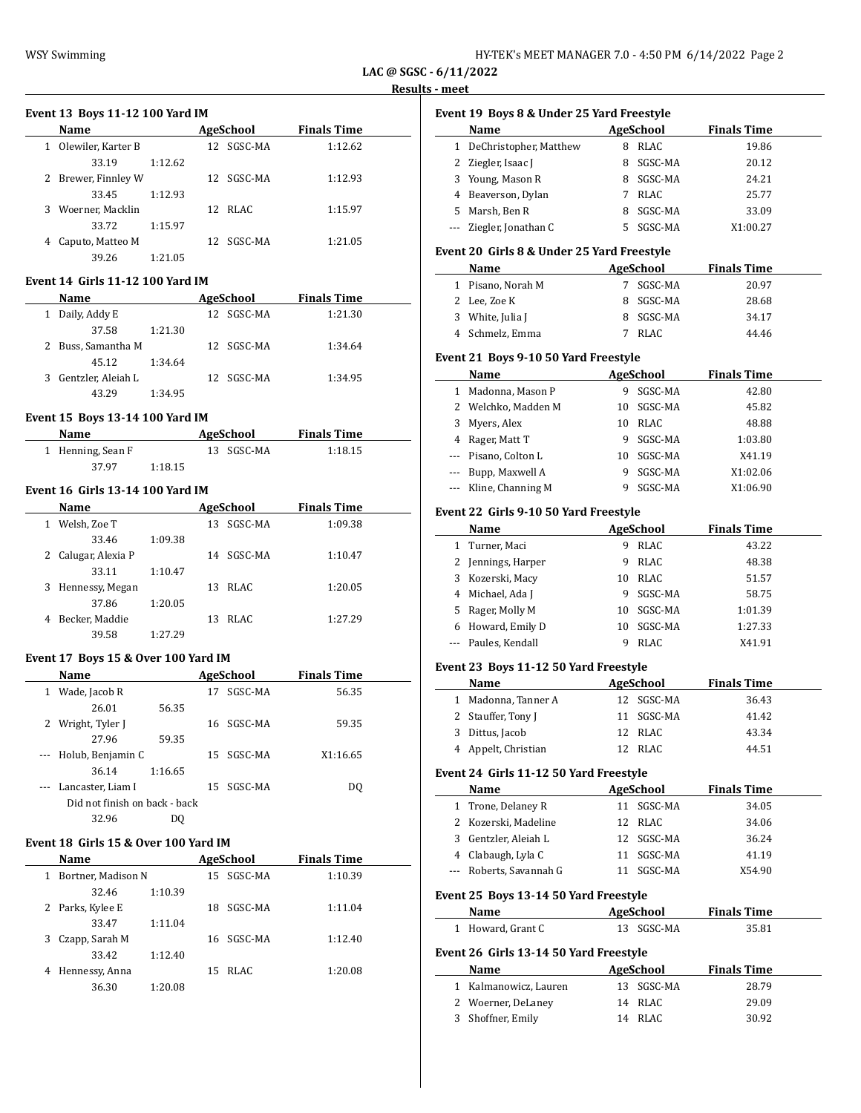| HY-TEK's MEET MANAGER 7.0 - 4:50 PM 6/14/2022 Page 2 |  |  |
|------------------------------------------------------|--|--|
|------------------------------------------------------|--|--|

**LAC @ SGSC - 6/11/2022 Results - meet**

# **Event 13 Boys 11-12 100 Yard IM**

| <b>Name</b>             |         | <b>AgeSchool</b> | <b>Finals Time</b> |
|-------------------------|---------|------------------|--------------------|
| Olewiler, Karter B<br>1 |         | 12 SGSC-MA       | 1:12.62            |
| 33.19                   | 1:12.62 |                  |                    |
| 2 Brewer, Finnley W     |         | 12 SGSC-MA       | 1:12.93            |
| 33.45                   | 1:12.93 |                  |                    |
| Woerner, Macklin<br>3   |         | 12 RLAC          | 1:15.97            |
| 33.72                   | 1:15.97 |                  |                    |
| Caputo, Matteo M<br>4   |         | 12 SGSC-MA       | 1:21.05            |
| 39.26                   | 1:21.05 |                  |                    |

### **Event 14 Girls 11-12 100 Yard IM**

| <b>Name</b>          |         | AgeSchool  | <b>Finals Time</b> |
|----------------------|---------|------------|--------------------|
| 1 Daily, Addy E      |         | 12 SGSC-MA | 1:21.30            |
| 37.58                | 1:21.30 |            |                    |
| 2 Buss, Samantha M   |         | 12 SGSC-MA | 1:34.64            |
| 45.12                | 1:34.64 |            |                    |
| 3 Gentzler, Aleiah L |         | 12 SGSC-MA | 1:34.95            |
| 43.29                | 1:34.95 |            |                    |

# **Event 15 Boys 13-14 100 Yard IM**

| Name              |         | AgeSchool  | <b>Finals Time</b> |
|-------------------|---------|------------|--------------------|
| 1 Henning, Sean F |         | 13 SGSC-MA | 1:18.15            |
| 37.97             | 1:18.15 |            |                    |

#### **Event 16 Girls 13-14 100 Yard IM**

| <b>Name</b>            |         | <b>AgeSchool</b> | <b>Finals Time</b> |  |
|------------------------|---------|------------------|--------------------|--|
| Welsh, Zoe T<br>1      |         | SGSC-MA<br>13    | 1:09.38            |  |
| 33.46                  | 1:09.38 |                  |                    |  |
| Calugar, Alexia P<br>2 |         | SGSC-MA<br>14    | 1:10.47            |  |
| 33.11                  | 1:10.47 |                  |                    |  |
| 3 Hennessy, Megan      |         | RLAC.<br>13      | 1:20.05            |  |
| 37.86                  | 1:20.05 |                  |                    |  |
| Becker, Maddie<br>4    |         | RLAC.<br>13      | 1:27.29            |  |
| 39.58                  | 1:27.29 |                  |                    |  |

# **Event 17 Boys 15 & Over 100 Yard IM**

|   | <b>Name</b>                   |         |    | AgeSchool  | <b>Finals Time</b> |  |
|---|-------------------------------|---------|----|------------|--------------------|--|
| 1 | Wade, Jacob R                 |         | 17 | SGSC-MA    | 56.35              |  |
|   | 26.01                         | 56.35   |    |            |                    |  |
| 2 | Wright, Tyler J               |         |    | 16 SGSC-MA | 59.35              |  |
|   | 27.96                         | 59.35   |    |            |                    |  |
|   | --- Holub, Benjamin C         |         |    | 15 SGSC-MA | X1:16.65           |  |
|   | 36.14                         | 1:16.65 |    |            |                    |  |
|   | --- Lancaster, Liam I         |         | 15 | SGSC-MA    | DO.                |  |
|   | Did not finish on back - back |         |    |            |                    |  |
|   | 32.96                         | DΟ      |    |            |                    |  |

#### **Event 18 Girls 15 & Over 100 Yard IM**

| Name                    |         |     | AgeSchool  | <b>Finals Time</b> |
|-------------------------|---------|-----|------------|--------------------|
| Bortner, Madison N<br>1 |         |     | 15 SGSC-MA | 1:10.39            |
| 32.46                   | 1:10.39 |     |            |                    |
| 2 Parks, Kylee E        |         | 18. | SGSC-MA    | 1:11.04            |
| 33.47                   | 1:11.04 |     |            |                    |
| Czapp, Sarah M<br>3     |         |     | 16 SGSC-MA | 1:12.40            |
| 33.42                   | 1:12.40 |     |            |                    |
| Hennessy, Anna<br>4     |         | 15  | RLAC.      | 1:20.08            |
| 36.30                   | 1:20.08 |     |            |                    |

| <u>- IIIccr</u> |                                                                                                                                    |    |                                |                             |
|-----------------|------------------------------------------------------------------------------------------------------------------------------------|----|--------------------------------|-----------------------------|
|                 | Event 19 Boys 8 & Under 25 Yard Freestyle                                                                                          |    |                                |                             |
|                 | Name                                                                                                                               |    | <b>AgeSchool</b>               | <b>Finals Time</b>          |
|                 | 1 DeChristopher, Matthew                                                                                                           |    | 8 RLAC                         | 19.86                       |
|                 | 2 Ziegler, Isaac J                                                                                                                 |    | 8 SGSC-MA                      | 20.12                       |
|                 | 3 Young, Mason R                                                                                                                   |    | 8 SGSC-MA                      | 24.21                       |
|                 | 4 Beaverson, Dylan                                                                                                                 |    | 7 RLAC                         | 25.77                       |
|                 | 5 Marsh, Ben R                                                                                                                     |    | 8 SGSC-MA                      | 33.09                       |
| ---             | Ziegler, Jonathan C                                                                                                                | 5  | SGSC-MA                        | X1:00.27                    |
|                 | Event 20 Girls 8 & Under 25 Yard Freestyle                                                                                         |    |                                |                             |
|                 | Name                                                                                                                               |    | AgeSchool                      | <b>Finals Time</b>          |
|                 | 1 Pisano, Norah M                                                                                                                  | 7  | SGSC-MA                        | 20.97                       |
|                 | 2 Lee, Zoe K                                                                                                                       | 8  | SGSC-MA                        | 28.68                       |
|                 | 3 White, Julia J                                                                                                                   |    | 8 SGSC-MA                      | 34.17                       |
|                 | 4 Schmelz, Emma                                                                                                                    |    | 7 RLAC                         | 44.46                       |
|                 | Event 21 Boys 9-10 50 Yard Freestyle                                                                                               |    |                                |                             |
|                 | Name                                                                                                                               |    | AgeSchool                      | <b>Finals Time</b>          |
|                 | 1 Madonna, Mason P                                                                                                                 |    | 9 SGSC-MA                      | 42.80                       |
|                 | 2 Welchko, Madden M                                                                                                                |    | 10 SGSC-MA                     | 45.82                       |
|                 | 3 Myers, Alex                                                                                                                      |    | 10 RLAC                        | 48.88                       |
|                 | 4 Rager, Matt T                                                                                                                    |    | 9 SGSC-MA                      | 1:03.80                     |
| ---             | Pisano, Colton L                                                                                                                   |    | 10 SGSC-MA                     | X41.19                      |
| ---             | Bupp, Maxwell A                                                                                                                    | 9  | SGSC-MA                        | X1:02.06                    |
| ---             | Kline, Channing M                                                                                                                  |    | 9 SGSC-MA                      | X1:06.90                    |
|                 | Event 22 Girls 9-10 50 Yard Freestyle                                                                                              |    |                                |                             |
|                 | Name                                                                                                                               |    | AgeSchool                      | <b>Finals Time</b>          |
|                 | 1 Turner, Maci                                                                                                                     |    | 9 RLAC                         | 43.22                       |
|                 | 2 Jennings, Harper                                                                                                                 |    | 9 RLAC                         | 48.38                       |
|                 | 3 Kozerski, Macy                                                                                                                   |    | 10 RLAC                        | 51.57                       |
|                 | 4 Michael, Ada J                                                                                                                   |    | 9 SGSC-MA                      | 58.75                       |
|                 | 5 Rager, Molly M                                                                                                                   |    | 10 SGSC-MA                     | 1:01.39                     |
|                 | 6 Howard, Emily D                                                                                                                  |    | 10 SGSC-MA                     | 1:27.33                     |
|                 | --- Paules, Kendall                                                                                                                | 9  | RLAC                           | X41.91                      |
|                 | Event 23 Boys 11-12 50 Yard Freestyle                                                                                              |    |                                |                             |
|                 | Name                                                                                                                               |    | AgeSchool                      | <b>Finals Time</b>          |
| 1               | Madonna, Tanner A                                                                                                                  | 12 | SGSC-MA                        | 36.43                       |
| 2               | Stauffer, Tony J                                                                                                                   | 11 | SGSC-MA                        | 41.42                       |
| 3               | Dittus, Jacob                                                                                                                      |    | 12 RLAC                        | 43.34                       |
|                 | 4 Appelt, Christian                                                                                                                |    | 12 RLAC                        | 44.51                       |
|                 |                                                                                                                                    |    |                                |                             |
|                 | Event 24 Girls 11-12 50 Yard Freestyle<br>Name                                                                                     |    | <b>AgeSchool</b>               | <b>Finals Time</b>          |
|                 | 1 Trone, Delaney R                                                                                                                 |    | 11 SGSC-MA                     | 34.05                       |
|                 | 2 Kozerski, Madeline                                                                                                               |    | 12 RLAC                        | 34.06                       |
|                 | 3 Gentzler, Aleiah L                                                                                                               |    | 12 SGSC-MA                     | 36.24                       |
|                 | 4 Clabaugh, Lyla C                                                                                                                 |    | 11 SGSC-MA                     | 41.19                       |
|                 | --- Roberts, Savannah G                                                                                                            |    | 11 SGSC-MA                     | X54.90                      |
|                 |                                                                                                                                    |    |                                |                             |
|                 | Event 25 Boys 13-14 50 Yard Freestyle                                                                                              |    |                                |                             |
| $1 \quad$       | Name and the set of the set of the set of the set of the set of the set of the set of the set of the set of the<br>Howard, Grant C |    | <b>AgeSchool</b><br>13 SGSC-MA | <b>Finals Time</b><br>35.81 |
|                 |                                                                                                                                    |    |                                |                             |
|                 | Event 26 Girls 13-14 50 Yard Freestyle                                                                                             |    |                                |                             |
|                 | Name                                                                                                                               |    | AgeSchool                      | <b>Finals Time</b>          |
| $1\,$           | Kalmanowicz, Lauren                                                                                                                |    | 13 SGSC-MA                     | 28.79                       |
|                 | 2 Woerner, DeLaney                                                                                                                 |    | 14 RLAC                        | 29.09                       |

3 Shoffner, Emily 14 RLAC 30.92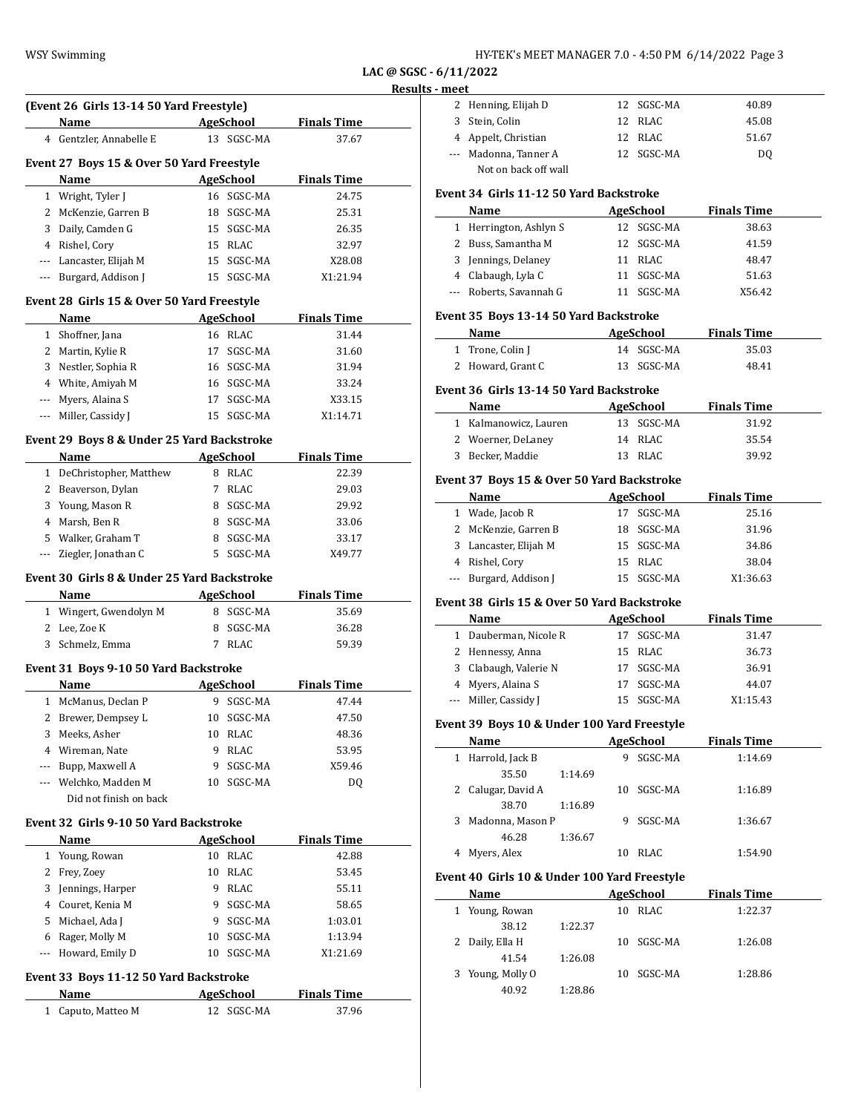**LAC @ SGSC - 6/11/2022**

|                | (Event 26 Girls 13-14 50 Yard Freestyle)       |                  |                    |  |
|----------------|------------------------------------------------|------------------|--------------------|--|
|                | Name                                           | AgeSchool        | <b>Finals Time</b> |  |
|                | 4 Gentzler, Annabelle E                        | 13 SGSC-MA       | 37.67              |  |
|                | Event 27 Boys 15 & Over 50 Yard Freestyle      |                  |                    |  |
|                | Name                                           | AgeSchool        | <b>Finals Time</b> |  |
|                | 1 Wright, Tyler J                              | 16 SGSC-MA       | 24.75              |  |
|                | 2 McKenzie, Garren B                           | 18 SGSC-MA       | 25.31              |  |
|                | 3 Daily, Camden G                              | 15 SGSC-MA       | 26.35              |  |
|                | 4 Rishel, Cory                                 | 15 RLAC          | 32.97              |  |
|                | --- Lancaster, Elijah M                        | 15 SGSC-MA       | X28.08             |  |
|                | --- Burgard, Addison J                         | 15 SGSC-MA       | X1:21.94           |  |
|                |                                                |                  |                    |  |
|                | Event 28 Girls 15 & Over 50 Yard Freestyle     |                  |                    |  |
|                | Name                                           | <b>AgeSchool</b> | <b>Finals Time</b> |  |
|                | 1 Shoffner, Jana                               | 16 RLAC          | 31.44              |  |
|                | 2 Martin, Kylie R                              | 17 SGSC-MA       | 31.60              |  |
|                | 3 Nestler, Sophia R                            | 16 SGSC-MA       | 31.94              |  |
|                | 4 White, Amiyah M                              | 16 SGSC-MA       | 33.24              |  |
|                | --- Myers, Alaina S                            | 17 SGSC-MA       | X33.15             |  |
|                | --- Miller, Cassidy J                          | 15 SGSC-MA       | X1:14.71           |  |
|                | Event 29 Boys 8 & Under 25 Yard Backstroke     |                  |                    |  |
|                | Name                                           | AgeSchool        | <b>Finals Time</b> |  |
|                | 1 DeChristopher, Matthew                       | 8 RLAC           | 22.39              |  |
|                | 2 Beaverson, Dylan                             | 7 RLAC           | 29.03              |  |
|                | 3 Young, Mason R                               | 8 SGSC-MA        | 29.92              |  |
|                | 4 Marsh, Ben R                                 | 8 SGSC-MA        | 33.06              |  |
|                | 5 Walker, Graham T                             | 8 SGSC-MA        | 33.17              |  |
|                |                                                |                  |                    |  |
| $---$          | Ziegler, Jonathan C                            | 5 SGSC-MA        | X49.77             |  |
|                |                                                |                  |                    |  |
|                | Event 30 Girls 8 & Under 25 Yard Backstroke    |                  |                    |  |
|                | Name                                           | AgeSchool        | <b>Finals Time</b> |  |
|                | 1 Wingert, Gwendolyn M                         | 8 SGSC-MA        | 35.69              |  |
|                | 2 Lee. Zoe K                                   | 8 SGSC-MA        | 36.28              |  |
|                | 3 Schmelz, Emma                                | 7 RLAC           | 59.39              |  |
|                | Event 31 Boys 9-10 50 Yard Backstroke          |                  |                    |  |
|                | Name                                           | AgeSchool        | <b>Finals Time</b> |  |
|                | 1 McManus, Declan P                            | 9 SGSC-MA        | 47.44              |  |
| $\overline{c}$ | Brewer, Dempsey L                              | SGSC-MA<br>10    | 47.50              |  |
| 3              | Meeks, Asher                                   | RLAC<br>10       | 48.36              |  |
|                | 4 Wireman, Nate                                | 9<br><b>RLAC</b> | 53.95              |  |
|                | --- Bupp, Maxwell A                            | 9<br>SGSC-MA     | X59.46             |  |
|                | --- Welchko, Madden M                          | SGSC-MA<br>10    | DQ                 |  |
|                | Did not finish on back                         |                  |                    |  |
|                |                                                |                  |                    |  |
|                | Event 32 Girls 9-10 50 Yard Backstroke         |                  |                    |  |
|                | Name                                           | AgeSchool        | <b>Finals Time</b> |  |
|                | 1 Young, Rowan                                 | 10 RLAC          | 42.88              |  |
|                | 2 Frey, Zoey                                   | RLAC<br>10       | 53.45              |  |
|                | 3 Jennings, Harper                             | 9 RLAC           | 55.11              |  |
|                | 4 Couret, Kenia M                              | 9<br>SGSC-MA     | 58.65              |  |
|                | 5 Michael, Ada J                               | 9<br>SGSC-MA     | 1:03.01            |  |
|                | 6 Rager, Molly M                               | 10 SGSC-MA       | 1:13.94            |  |
| ---            | Howard, Emily D                                | 10 SGSC-MA       | X1:21.69           |  |
|                |                                                |                  |                    |  |
|                | Event 33 Boys 11-12 50 Yard Backstroke<br>Name | AgeSchool        | <b>Finals Time</b> |  |

| meet |                       |            |       |
|------|-----------------------|------------|-------|
|      | 2 Henning, Elijah D   | 12 SGSC-MA | 40.89 |
|      | 3 Stein, Colin        | 12 RLAC    | 45.08 |
|      | 4 Appelt, Christian   | 12 RLAC    | 51.67 |
|      | --- Madonna, Tanner A | 12 SGSC-MA | DO    |
|      | Not on back off wall  |            |       |

### **Event 34 Girls 11-12 50 Yard Backstroke**

| Name                    | AgeSchool  | <b>Finals Time</b> |
|-------------------------|------------|--------------------|
| 1 Herrington, Ashlyn S  | 12 SGSC-MA | 38.63              |
| 2 Buss, Samantha M      | 12 SGSC-MA | 41.59              |
| 3 Jennings, Delaney     | 11 RLAC    | 48.47              |
| 4 Clabaugh, Lyla C      | 11 SGSC-MA | 51.63              |
| --- Roberts, Savannah G | SGSC-MA    | X56.42             |

# **Event 35 Boys 13-14 50 Yard Backstroke**

| Name              | AgeSchool  | <b>Finals Time</b> |  |
|-------------------|------------|--------------------|--|
| 1 Trone, Colin J  | 14 SGSC-MA | 35.03              |  |
| 2 Howard, Grant C | 13 SGSC-MA | 48.41              |  |

#### **Event 36 Girls 13-14 50 Yard Backstroke**

| Name                  | AgeSchool  | <b>Finals Time</b> |
|-----------------------|------------|--------------------|
| 1 Kalmanowicz, Lauren | 13 SGSC-MA | 31.92              |
| 2 Woerner, DeLaney    | 14 RLAC    | 35.54              |
| 3 Becker, Maddie      | 13 RLAC    | 39.92              |

# **Event 37 Boys 15 & Over 50 Yard Backstroke**

| <b>Name</b>            | AgeSchool |            | <b>Finals Time</b> |  |
|------------------------|-----------|------------|--------------------|--|
| 1 Wade, Jacob R        |           | 17 SGSC-MA | 25.16              |  |
| 2 McKenzie, Garren B   |           | 18 SGSC-MA | 31.96              |  |
| 3 Lancaster, Elijah M  |           | 15 SGSC-MA | 34.86              |  |
| 4 Rishel, Cory         | 15 RLAC   |            | 38.04              |  |
| --- Burgard, Addison J |           | 15 SGSC-MA | X1:36.63           |  |

### **Event 38 Girls 15 & Over 50 Yard Backstroke**

| <b>Name</b>           | AgeSchool |            | <b>Finals Time</b> |  |
|-----------------------|-----------|------------|--------------------|--|
| 1 Dauberman, Nicole R |           | 17 SGSC-MA | 31.47              |  |
| 2 Hennessy, Anna      |           | 15 RLAC    | 36.73              |  |
| 3 Clabaugh, Valerie N |           | 17 SGSC-MA | 36.91              |  |
| 4 Myers, Alaina S     |           | 17 SGSC-MA | 44.07              |  |
| --- Miller, Cassidy J |           | 15 SGSC-MA | X1:15.43           |  |

#### **Event 39 Boys 10 & Under 100 Yard Freestyle**

| Name               |         |    | AgeSchool | <b>Finals Time</b> |  |
|--------------------|---------|----|-----------|--------------------|--|
| 1 Harrold, Jack B  |         |    | SGSC-MA   | 1:14.69            |  |
| 35.50              | 1:14.69 |    |           |                    |  |
| 2 Calugar, David A |         | 10 | SGSC-MA   | 1:16.89            |  |
| 38.70              | 1:16.89 |    |           |                    |  |
| 3 Madonna, Mason P |         |    | SGSC-MA   | 1:36.67            |  |
| 46.28              | 1:36.67 |    |           |                    |  |
| Myers, Alex        |         | 10 | RLAC.     | 1:54.90            |  |

# **Event 40 Girls 10 & Under 100 Yard Freestyle**

| Name              |         |    | AgeSchool | <b>Finals Time</b> |  |
|-------------------|---------|----|-----------|--------------------|--|
| Young, Rowan<br>1 |         | 10 | RLAC      | 1:22.37            |  |
| 38.12             | 1:22.37 |    |           |                    |  |
| 2 Daily, Ella H   |         | 10 | SGSC-MA   | 1:26.08            |  |
| 41.54             | 1:26.08 |    |           |                    |  |
| 3 Young, Molly O  |         | 10 | SGSC-MA   | 1:28.86            |  |
| 40.92             | 1:28.86 |    |           |                    |  |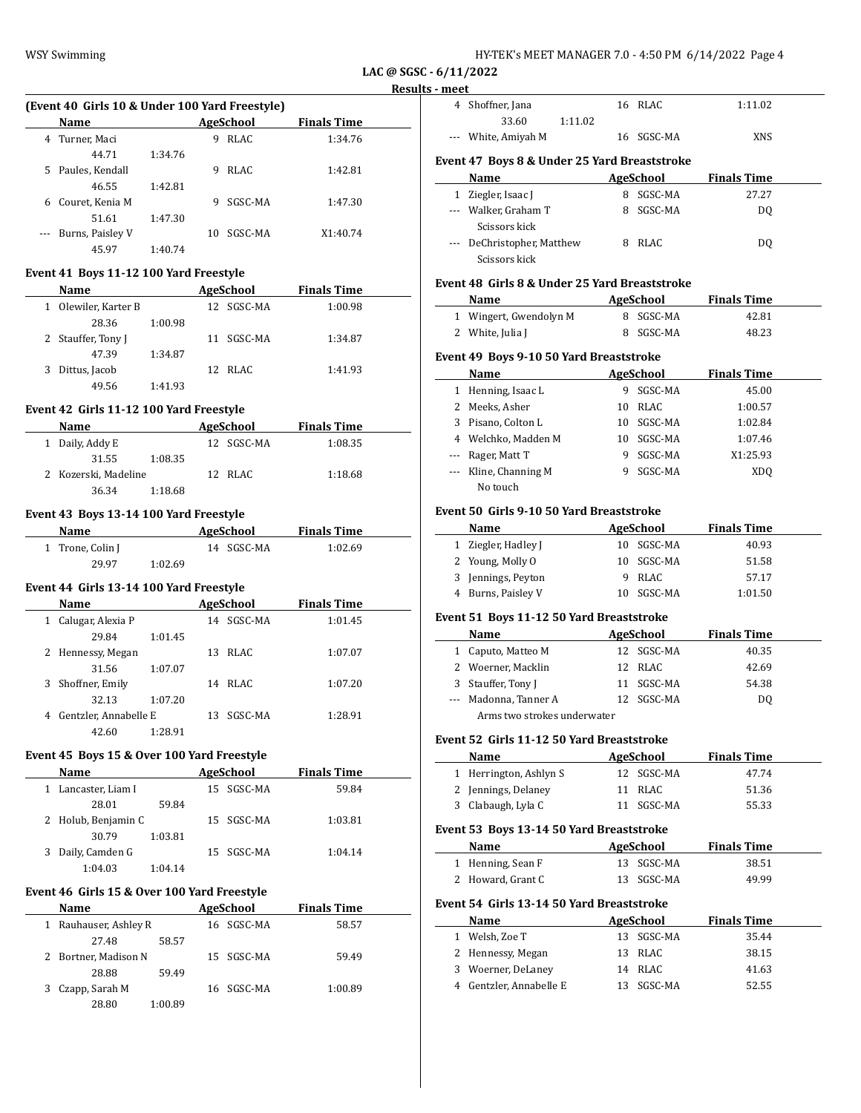| HY-TEK's MEET MANAGER 7.0 - 4:50 PM 6/14/2022 Page 4 |  |  |
|------------------------------------------------------|--|--|
|------------------------------------------------------|--|--|

4 Shoffner, Jana 16 RLAC 1:11.02

**LAC @ SGSC - 6/11/2022**

#### **Results - meet**

 $\frac{1}{2}$ 

 $\sim$ 

|                                                 |                                                   |            |                    | LAC @ SG    |
|-------------------------------------------------|---------------------------------------------------|------------|--------------------|-------------|
|                                                 |                                                   |            |                    | <b>Rest</b> |
| (Event 40 Girls 10 & Under 100 Yard Freestyle)  |                                                   |            |                    |             |
| Name                                            | <u> 1999 - Johann Barnett, fransk politiker (</u> | AgeSchool  | <b>Finals Time</b> |             |
| 4 Turner, Maci                                  |                                                   | 9 RLAC     | 1:34.76            |             |
| 44.71                                           | 1:34.76                                           |            |                    |             |
| 5 Paules, Kendall                               |                                                   | 9 RLAC     | 1:42.81            |             |
| 46.55                                           | 1:42.81                                           |            |                    |             |
| 6 Couret, Kenia M                               |                                                   | 9 SGSC-MA  | 1:47.30            |             |
| 51.61                                           | 1:47.30                                           |            |                    |             |
| --- Burns, Paisley V                            |                                                   | 10 SGSC-MA | X1:40.74           |             |
| 45.97                                           | 1:40.74                                           |            |                    |             |
| Event 41 Boys 11-12 100 Yard Freestyle          |                                                   |            |                    |             |
| Name                                            |                                                   | AgeSchool  | <b>Finals Time</b> |             |
| 1 Olewiler, Karter B                            |                                                   | 12 SGSC-MA | 1:00.98            |             |
| 28.36                                           | 1:00.98                                           |            |                    |             |
| 2 Stauffer, Tony J                              |                                                   | 11 SGSC-MA | 1:34.87            |             |
| 47.39                                           | 1:34.87                                           |            |                    |             |
| 3 Dittus, Jacob                                 |                                                   | 12 RLAC    | 1:41.93            |             |
| 49.56                                           | 1:41.93                                           |            |                    |             |
|                                                 |                                                   |            |                    |             |
| Event 42 Girls 11-12 100 Yard Freestyle         |                                                   |            |                    |             |
| Name                                            |                                                   | AgeSchool  | <b>Finals Time</b> |             |
| 1 Daily, Addy E                                 |                                                   | 12 SGSC-MA | 1:08.35            |             |
| 31.55                                           | 1:08.35                                           |            |                    |             |
| 2 Kozerski, Madeline                            |                                                   | 12 RLAC    | 1:18.68            |             |
| 36.34                                           | 1:18.68                                           |            |                    |             |
| Event 43 Boys 13-14 100 Yard Freestyle          |                                                   |            |                    |             |
| Name                                            | and the control of the control of                 | AgeSchool  | <b>Finals Time</b> |             |
| 1 Trone, Colin J                                |                                                   | 14 SGSC-MA | 1:02.69            |             |
| 29.97                                           | 1:02.69                                           |            |                    |             |
| Event 44 Girls 13-14 100 Yard Freestyle         |                                                   |            |                    |             |
| Name                                            |                                                   | AgeSchool  | <b>Finals Time</b> |             |
| <b>Contract Contract</b><br>1 Calugar, Alexia P |                                                   | 14 SGSC-MA | 1:01.45            |             |
| 29.84                                           | 1:01.45                                           |            |                    |             |
| 2 Hennessy, Megan                               |                                                   | 13 RLAC    | 1:07.07            |             |
| 31.56                                           | 1:07.07                                           |            |                    |             |
| 3 Shoffner, Emily                               |                                                   | 14 RLAC    | 1:07.20            |             |
| 32.13                                           | 1:07.20                                           |            |                    |             |
|                                                 |                                                   |            |                    |             |

# 42.60 1:28.91 **Event 45 Boys 15 & Over 100 Yard Freestyle**

| <b>Name</b>         |         | AgeSchool  | <b>Finals Time</b> |  |
|---------------------|---------|------------|--------------------|--|
| Lancaster, Liam I   |         | 15 SGSC-MA | 59.84              |  |
| 28.01               | 59.84   |            |                    |  |
| 2 Holub, Benjamin C |         | 15 SGSC-MA | 1:03.81            |  |
| 30.79               | 1:03.81 |            |                    |  |
| Daily, Camden G     |         | 15 SGSC-MA | 1:04.14            |  |
| 1:04.03             | 1:04.14 |            |                    |  |

4 Gentzler, Annabelle E 13 SGSC-MA 1:28.91

# **Event 46 Girls 15 & Over 100 Yard Freestyle**

|    | Name                 |         | AgeSchool  | <b>Finals Time</b> |
|----|----------------------|---------|------------|--------------------|
| 1  | Rauhauser, Ashley R  |         | 16 SGSC-MA | 58.57              |
|    | 27.48                | 58.57   |            |                    |
|    | 2 Bortner, Madison N |         | 15 SGSC-MA | 59.49              |
|    | 28.88                | 59.49   |            |                    |
| 3. | Czapp, Sarah M       |         | 16 SGSC-MA | 1:00.89            |
|    | 28.80                | 1:00.89 |            |                    |

| 33.60                                        | 1:11.02 |            |                    |  |
|----------------------------------------------|---------|------------|--------------------|--|
| --- White, Amiyah M                          |         | 16 SGSC-MA | <b>XNS</b>         |  |
| Event 47 Boys 8 & Under 25 Yard Breaststroke |         |            |                    |  |
| Name                                         |         | AgeSchool  | <b>Finals Time</b> |  |
| Ziegler, Isaac J                             | 8       | SGSC-MA    | 27.27              |  |
| --- Walker, Graham T                         | 8       | SGSC-MA    | DO.                |  |
| Scissors kick                                |         |            |                    |  |
| --- DeChristopher, Matthew                   | 8       | RLAC       | DO.                |  |
| Scissors kick                                |         |            |                    |  |
|                                              |         |            |                    |  |

# **Event 48 Girls 8 & Under 25 Yard Breaststroke**

| Name                   | AgeSchool | <b>Finals Time</b> |  |
|------------------------|-----------|--------------------|--|
| 1 Wingert, Gwendolyn M | 8 SGSC-MA | 42.81              |  |
| 2 White, Julia J       | 8 SGSC-MA | 48.23              |  |

#### **Event 49 Boys 9-10 50 Yard Breaststroke**

|                                                 | Name                  |    | AgeSchool | <b>Finals Time</b> |  |  |  |
|-------------------------------------------------|-----------------------|----|-----------|--------------------|--|--|--|
| 1                                               | Henning, Isaac L      | 9  | SGSC-MA   | 45.00              |  |  |  |
|                                                 | 2 Meeks, Asher        | 10 | RLAC      | 1:00.57            |  |  |  |
|                                                 | 3 Pisano, Colton L    | 10 | SGSC-MA   | 1:02.84            |  |  |  |
|                                                 | 4 Welchko, Madden M   | 10 | SGSC-MA   | 1:07.46            |  |  |  |
|                                                 | --- Rager, Matt T     | 9  | SGSC-MA   | X1:25.93           |  |  |  |
|                                                 | --- Kline, Channing M | 9  | SGSC-MA   | XD <sub>0</sub>    |  |  |  |
|                                                 | No touch              |    |           |                    |  |  |  |
| <b>Fyent 50 Girls 9-10 50 Vard Rreaststroke</b> |                       |    |           |                    |  |  |  |

# **Event 50 Girls 9-10 50 Yard Breaststroke**

| Name                | AgeSchool  | <b>Finals Time</b> |  |
|---------------------|------------|--------------------|--|
| 1 Ziegler, Hadley J | 10 SGSC-MA | 40.93              |  |
| 2 Young, Molly O    | 10 SGSC-MA | 51.58              |  |
| 3 Jennings, Peyton  | 9 RLAC     | 57.17              |  |
| 4 Burns, Paisley V  | SGSC-MA    | 1:01.50            |  |

# **Event 51 Boys 11-12 50 Yard Breaststroke**

| Name                        | AgeSchool  | <b>Finals Time</b> |  |
|-----------------------------|------------|--------------------|--|
| 1 Caputo, Matteo M          | 12 SGSC-MA | 40.35              |  |
| 2 Woerner, Macklin          | 12 RLAC    | 42.69              |  |
| 3 Stauffer, Tony J          | 11 SGSC-MA | 54.38              |  |
| --- Madonna, Tanner A       | 12 SGSC-MA | DO                 |  |
| Arms two strokes underwater |            |                    |  |

# **Event 52 Girls 11-12 50 Yard Breaststroke**

| Name                   | AgeSchool  | <b>Finals Time</b> |
|------------------------|------------|--------------------|
| 1 Herrington, Ashlyn S | 12 SGSC-MA | 47.74              |
| 2 Jennings, Delaney    | 11 RLAC    | 51.36              |
| 3 Clabaugh, Lyla C     | 11 SGSC-MA | 55.33              |

# **Event 53 Boys 13-14 50 Yard Breaststroke**

| Name                                      | AgeSchool  | <b>Finals Time</b> |  |  |  |
|-------------------------------------------|------------|--------------------|--|--|--|
| 1 Henning, Sean F                         | 13 SGSC-MA | 38.51              |  |  |  |
| 2 Howard, Grant C                         | 13 SGSC-MA | 49.99              |  |  |  |
| Event 54 Girls 13-14 50 Yard Breaststroke |            |                    |  |  |  |

| Name                    | AgeSchool  | <b>Finals Time</b> |  |
|-------------------------|------------|--------------------|--|
| Welsh, Zoe T            | 13 SGSC-MA | 35.44              |  |
| 2 Hennessy, Megan       | 13 RLAC    | 38.15              |  |
| Woerner, DeLaney        | 14 RLAC    | 41.63              |  |
| 4 Gentzler, Annabelle E | 13 SGSC-MA | 52.55              |  |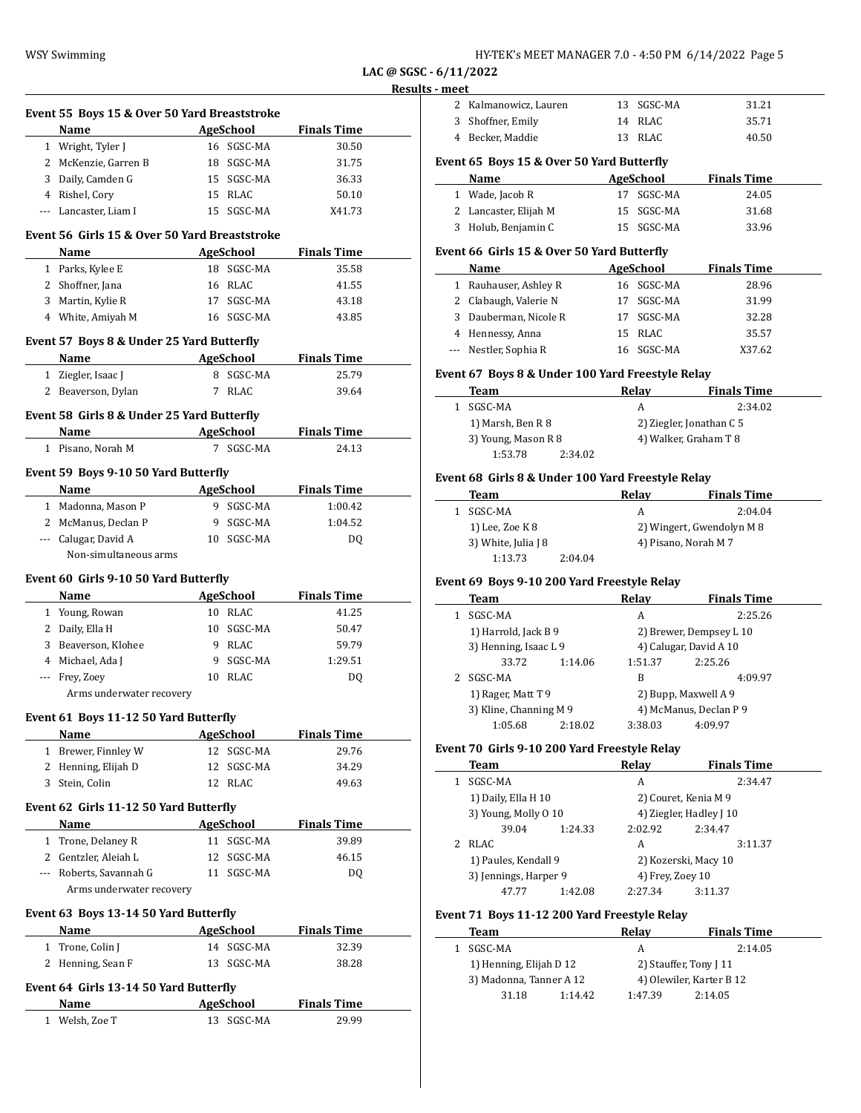|  | HY-TEK's MEET MANAGER 7.0 - 4:50 PM 6/14/2022 Page 5 |  |  |  |  |  |
|--|------------------------------------------------------|--|--|--|--|--|
|--|------------------------------------------------------|--|--|--|--|--|

**LAC @ SGSC - 6/11/2022 Results** 

| Event 55 Boys 15 & Over 50 Yard Breaststroke  |                  |                    |
|-----------------------------------------------|------------------|--------------------|
| Name                                          | AgeSchool        | <b>Finals Time</b> |
| 1 Wright, Tyler J                             | 16 SGSC-MA       | 30.50              |
| 2 McKenzie, Garren B                          | 18 SGSC-MA       | 31.75              |
| 3 Daily, Camden G                             | 15 SGSC-MA       | 36.33              |
| 4 Rishel, Cory                                | 15 RLAC          | 50.10              |
| --- Lancaster, Liam I                         | 15 SGSC-MA       | X41.73             |
|                                               |                  |                    |
| Event 56 Girls 15 & Over 50 Yard Breaststroke | AgeSchool        | <b>Finals Time</b> |
| Name<br>1 Parks, Kylee E                      | 18 SGSC-MA       | 35.58              |
|                                               |                  |                    |
| 2 Shoffner, Jana                              | 16 RLAC          | 41.55              |
| 3 Martin, Kylie R                             | 17 SGSC-MA       | 43.18              |
| 4 White, Amiyah M                             | 16 SGSC-MA       | 43.85              |
| Event 57 Boys 8 & Under 25 Yard Butterfly     |                  |                    |
| Name                                          | AgeSchool        | <b>Finals Time</b> |
| 1 Ziegler, Isaac J                            | 8 SGSC-MA        | 25.79              |
| 2 Beaverson, Dylan                            | 7 RLAC           | 39.64              |
| Event 58 Girls 8 & Under 25 Yard Butterfly    |                  |                    |
| Name AgeSchool                                |                  | <b>Finals Time</b> |
| 1 Pisano, Norah M                             | 7 SGSC-MA        | 24.13              |
|                                               |                  |                    |
| Event 59 Boys 9-10 50 Yard Butterfly          |                  |                    |
| Name                                          | <b>AgeSchool</b> | <b>Finals Time</b> |
| 1 Madonna, Mason P                            | 9 SGSC-MA        | 1:00.42            |
| 2 McManus, Declan P                           | 9 SGSC-MA        | 1:04.52            |
| --- Calugar, David A<br>Non-simultaneous arms | 10 SGSC-MA       | DQ                 |
| Event 60 Girls 9-10 50 Yard Butterfly         |                  |                    |
| Name                                          | <b>AgeSchool</b> | <b>Finals Time</b> |
| 1 Young, Rowan                                | 10 RLAC          | 41.25              |
| 2 Daily, Ella H                               | 10 SGSC-MA       | 50.47              |
| 3 Beaverson, Klohee                           | 9 RLAC           | 59.79              |
| 4 Michael, Ada J                              | 9 SGSC-MA        | 1:29.51            |
| --- Frey, Zoey                                | 10 RLAC          | DQ                 |
| Arms underwater recovery                      |                  |                    |
|                                               |                  |                    |
| Event 61 Boys 11-12 50 Yard Butterfly         |                  |                    |
| Name                                          | AgeSchool        | <b>Finals Time</b> |
| 1 Brewer, Finnley W                           | 12 SGSC-MA       | 29.76              |
| 2 Henning, Elijah D                           | 12 SGSC-MA       | 34.29              |
| 3 Stein, Colin                                | 12 RLAC          | 49.63              |
| Event 62 Girls 11-12 50 Yard Butterfly        |                  |                    |
| Name                                          | AgeSchool        | <b>Finals Time</b> |
| 1 Trone, Delaney R                            | 11 SGSC-MA       | 39.89              |
| 2 Gentzler, Aleiah L                          | 12 SGSC-MA       | 46.15              |
| --- Roberts, Savannah G                       | 11 SGSC-MA       | DQ                 |
| Arms underwater recovery                      |                  |                    |
| Event 63 Boys 13-14 50 Yard Butterfly         |                  |                    |
| Name                                          | AgeSchool        | <b>Finals Time</b> |
| 1 Trone, Colin J                              | 14 SGSC-MA       | 32.39              |
| 2 Henning, Sean F                             | 13 SGSC-MA       | 38.28              |
|                                               |                  |                    |
| Event 64 Girls 13-14 50 Yard Butterfly        |                  |                    |
| Name                                          | AgeSchool        | <b>Finals Time</b> |
| 1 Welsh, Zoe T                                | 13 SGSC-MA       | 29.99              |
|                                               |                  |                    |

|        | 0/11/2022                                         |                      |                           |
|--------|---------------------------------------------------|----------------------|---------------------------|
| - meet |                                                   |                      |                           |
|        | 2 Kalmanowicz, Lauren                             | 13 SGSC-MA           | 31.21                     |
|        | 3 Shoffner, Emily                                 | 14 RLAC              | 35.71                     |
|        | 4 Becker, Maddie                                  | 13 RLAC              | 40.50                     |
|        | Event 65 Boys 15 & Over 50 Yard Butterfly         |                      |                           |
|        | Name                                              | <b>AgeSchool</b>     | <b>Finals Time</b>        |
|        | 1 Wade, Jacob R                                   | 17 SGSC-MA           | 24.05                     |
|        | 2 Lancaster, Elijah M                             | 15 SGSC-MA           | 31.68                     |
|        | 3 Holub, Benjamin C                               | SGSC-MA<br>15        | 33.96                     |
|        | Event 66 Girls 15 & Over 50 Yard Butterfly        |                      |                           |
|        | Name                                              | <b>AgeSchool</b>     | <b>Finals Time</b>        |
|        | 1 Rauhauser, Ashley R                             | 16 SGSC-MA           | 28.96                     |
|        | 2 Clabaugh, Valerie N                             | SGSC-MA<br>17        | 31.99                     |
|        | 3 Dauberman, Nicole R                             | 17 SGSC-MA           | 32.28                     |
|        | 4 Hennessy, Anna                                  | 15 RLAC              | 35.57                     |
| ---    | Nestler, Sophia R                                 | 16 SGSC-MA           | X37.62                    |
|        | Event 67 Boys 8 & Under 100 Yard Freestyle Relay  |                      |                           |
|        | Team                                              | Relay                | <b>Finals Time</b>        |
|        | 1 SGSC-MA                                         | A                    | 2:34.02                   |
|        | 1) Marsh, Ben R 8                                 |                      | 2) Ziegler, Jonathan C 5  |
|        | 3) Young, Mason R 8                               |                      | 4) Walker, Graham T 8     |
|        | 1:53.78<br>2:34.02                                |                      |                           |
|        |                                                   |                      |                           |
|        | Event 68 Girls 8 & Under 100 Yard Freestyle Relay |                      |                           |
|        | Team                                              | Relay                | <b>Finals Time</b>        |
|        | 1 SGSC-MA                                         | A                    | 2:04.04                   |
|        | 1) Lee, Zoe K 8                                   |                      | 2) Wingert, Gwendolyn M 8 |
|        | 3) White, Julia J 8                               | 4) Pisano, Norah M 7 |                           |
|        | 1:13.73<br>2:04.04                                |                      |                           |
|        | Event 69 Boys 9-10 200 Yard Freestyle Relay       |                      |                           |
|        | Team                                              | Relay                | <b>Finals Time</b>        |
|        | 1 SGSC-MA                                         | A                    | 2:25.26                   |
|        | 1) Harrold, Jack B 9                              |                      | 2) Brewer, Dempsey L 10   |
|        | 3) Henning, Isaac L 9                             |                      | 4) Calugar, David A 10    |
|        | 33.72<br>1:14.06                                  | 1:51.37              | 2:25.26                   |
|        | 2 SGSC-MA                                         | B                    | 4:09.97                   |
|        | 1) Rager, Matt T 9                                |                      | 2) Bupp, Maxwell A 9      |
|        | 3) Kline, Channing M 9                            |                      | 4) McManus, Declan P 9    |
|        | 1:05.68<br>2:18.02                                | 3:38.03              | 4:09.97                   |
|        | Event 70 Girls 9-10 200 Yard Freestyle Relay      |                      |                           |
|        | <b>Team</b>                                       | Relay                | <b>Finals Time</b>        |
|        | 1 SGSC-MA                                         | A                    | 2:34.47                   |
|        | 1) Daily, Ella H 10                               | 2) Couret, Kenia M 9 |                           |
|        | 3) Young, Molly 0 10                              |                      | 4) Ziegler, Hadley J 10   |
|        | 39.04<br>1:24.33                                  | 2:02.92              | 2:34.47                   |
|        |                                                   |                      |                           |

| 2 RLAC                |         |                      | 3:11.37 |
|-----------------------|---------|----------------------|---------|
| 1) Paules, Kendall 9  |         | 2) Kozerski, Macy 10 |         |
| 3) Jennings, Harper 9 |         | 4) Frey, Zoey 10     |         |
| 47 77                 | 1:42.08 | 2:27.34              | 3:11.37 |

# **Event 71 Boys 11-12 200 Yard Freestyle Relay**

 $\overline{\phantom{0}}$ 

| Team                    |         | Relav   | <b>Finals Time</b>       |  |
|-------------------------|---------|---------|--------------------------|--|
| SGSC-MA                 |         | А       | 2:14.05                  |  |
| 1) Henning, Elijah D 12 |         |         | 2) Stauffer, Tony [11    |  |
| 3) Madonna, Tanner A 12 |         |         | 4) Olewiler, Karter B 12 |  |
| 31.18                   | 1:14.42 | 1:47.39 | 2:14.05                  |  |